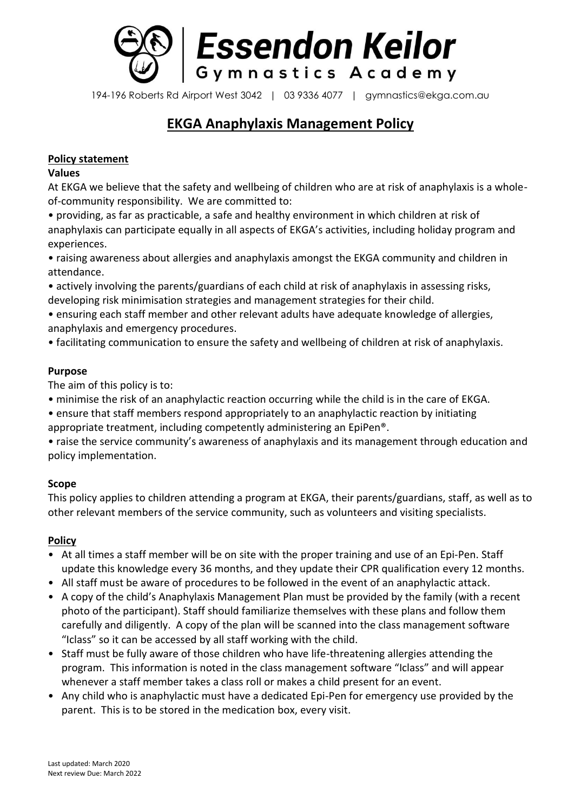

194-196 Roberts Rd Airport West 3042 | 03 9336 4077 | gymnastics@ekga.com.au

# **EKGA Anaphylaxis Management Policy**

## **Policy statement**

## **Values**

At EKGA we believe that the safety and wellbeing of children who are at risk of anaphylaxis is a wholeof-community responsibility. We are committed to:

• providing, as far as practicable, a safe and healthy environment in which children at risk of anaphylaxis can participate equally in all aspects of EKGA's activities, including holiday program and experiences.

• raising awareness about allergies and anaphylaxis amongst the EKGA community and children in attendance.

• actively involving the parents/guardians of each child at risk of anaphylaxis in assessing risks, developing risk minimisation strategies and management strategies for their child.

• ensuring each staff member and other relevant adults have adequate knowledge of allergies, anaphylaxis and emergency procedures.

• facilitating communication to ensure the safety and wellbeing of children at risk of anaphylaxis.

# **Purpose**

The aim of this policy is to:

- minimise the risk of an anaphylactic reaction occurring while the child is in the care of EKGA.
- ensure that staff members respond appropriately to an anaphylactic reaction by initiating appropriate treatment, including competently administering an EpiPen®.

• raise the service community's awareness of anaphylaxis and its management through education and policy implementation.

# **Scope**

This policy applies to children attending a program at EKGA, their parents/guardians, staff, as well as to other relevant members of the service community, such as volunteers and visiting specialists.

# **Policy**

- At all times a staff member will be on site with the proper training and use of an Epi-Pen. Staff update this knowledge every 36 months, and they update their CPR qualification every 12 months.
- All staff must be aware of procedures to be followed in the event of an anaphylactic attack.
- A copy of the child's Anaphylaxis Management Plan must be provided by the family (with a recent photo of the participant). Staff should familiarize themselves with these plans and follow them carefully and diligently. A copy of the plan will be scanned into the class management software "Iclass" so it can be accessed by all staff working with the child.
- Staff must be fully aware of those children who have life-threatening allergies attending the program. This information is noted in the class management software "Iclass" and will appear whenever a staff member takes a class roll or makes a child present for an event.
- Any child who is anaphylactic must have a dedicated Epi-Pen for emergency use provided by the parent. This is to be stored in the medication box, every visit.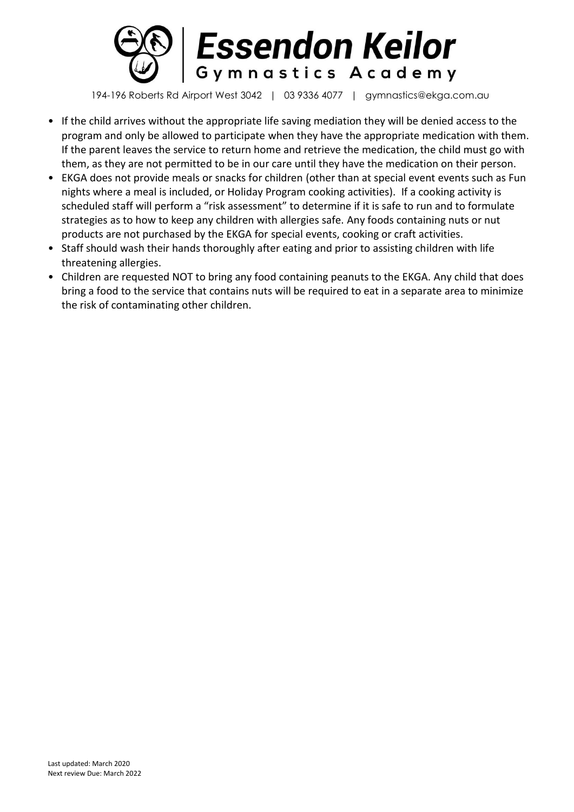

194-196 Roberts Rd Airport West 3042 | 03 9336 4077 | gymnastics@ekga.com.au

- If the child arrives without the appropriate life saving mediation they will be denied access to the program and only be allowed to participate when they have the appropriate medication with them. If the parent leaves the service to return home and retrieve the medication, the child must go with them, as they are not permitted to be in our care until they have the medication on their person.
- EKGA does not provide meals or snacks for children (other than at special event events such as Fun nights where a meal is included, or Holiday Program cooking activities). If a cooking activity is scheduled staff will perform a "risk assessment" to determine if it is safe to run and to formulate strategies as to how to keep any children with allergies safe. Any foods containing nuts or nut products are not purchased by the EKGA for special events, cooking or craft activities.
- Staff should wash their hands thoroughly after eating and prior to assisting children with life threatening allergies.
- Children are requested NOT to bring any food containing peanuts to the EKGA. Any child that does bring a food to the service that contains nuts will be required to eat in a separate area to minimize the risk of contaminating other children.